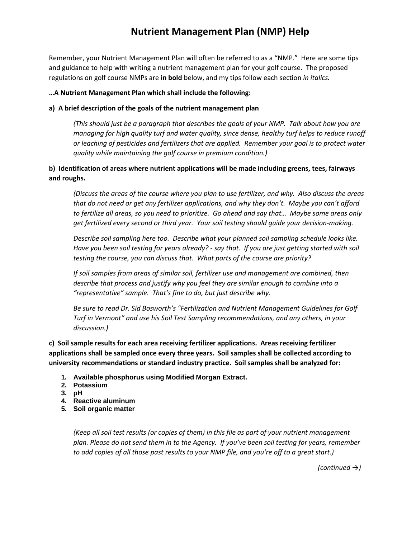# **Nutrient Management Plan (NMP) Help**

Remember, your Nutrient Management Plan will often be referred to as a "NMP." Here are some tips and guidance to help with writing a nutrient management plan for your golf course. The proposed regulations on golf course NMPs are **in bold** below, and my tips follow each section *in italics.*

#### **…A Nutrient Management Plan which shall include the following:**

#### **a) A brief description of the goals of the nutrient management plan**

*(This should just be a paragraph that describes the goals of your NMP. Talk about how you are managing for high quality turf and water quality, since dense, healthy turf helps to reduce runoff or leaching of pesticides and fertilizers that are applied. Remember your goal is to protect water quality while maintaining the golf course in premium condition.)*

## **b) Identification of areas where nutrient applications will be made including greens, tees, fairways and roughs.**

*(Discuss the areas of the course where you plan to use fertilizer, and why. Also discuss the areas that do not need or get any fertilizer applications, and why they don't. Maybe you can't afford to fertilize all areas, so you need to prioritize. Go ahead and say that… Maybe some areas only get fertilized every second or third year. Your soil testing should guide your decision-making.*

*Describe soil sampling here too. Describe what your planned soil sampling schedule looks like. Have you been soil testing for years already? - say that. If you are just getting started with soil testing the course, you can discuss that. What parts of the course are priority?*

*If soil samples from areas of similar soil, fertilizer use and management are combined, then describe that process and justify why you feel they are similar enough to combine into a "representative" sample. That's fine to do, but just describe why.*

*Be sure to read Dr. Sid Bosworth's "Fertilization and Nutrient Management Guidelines for Golf Turf in Vermont" and use his Soil Test Sampling recommendations, and any others, in your discussion.)*

**c) Soil sample results for each area receiving fertilizer applications. Areas receiving fertilizer applications shall be sampled once every three years. Soil samples shall be collected according to university recommendations or standard industry practice. Soil samples shall be analyzed for:**

- **1. Available phosphorus using Modified Morgan Extract.**
- **2. Potassium**
- **3. pH**
- **4. Reactive aluminum**
- **5. Soil organic matter**

*(Keep all soil test results (or copies of them) in this file as part of your nutrient management plan. Please do not send them in to the Agency. If you've been soil testing for years, remember to add copies of all those past results to your NMP file, and you're off to a great start.)*

*(continued →)*